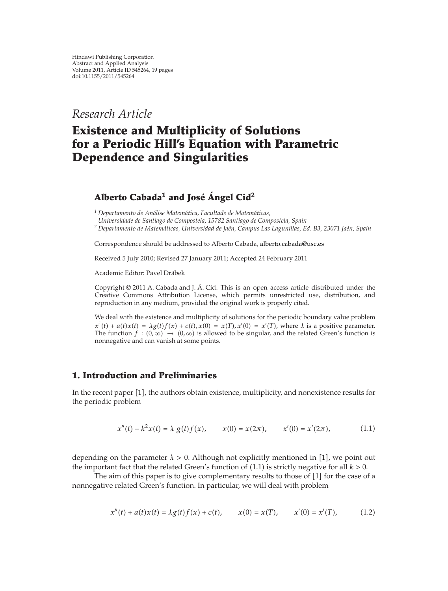*Research Article*

# **Existence and Multiplicity of Solutions for a Periodic Hill's Equation with Parametric Dependence and Singularities**

# **Alberto Cabada<sup>1</sup> and Jose´ Angel Cid ´ <sup>2</sup>**

*<sup>1</sup> Departamento de Analise Matem ´ atica, Facultade de Matem ´ aticas, ´*

*Universidade de Santiago de Compostela, 15782 Santiago de Compostela, Spain*

<sup>2</sup> Departamento de Matemáticas, Universidad de Jaén, Campus Las Lagunillas, Ed. B3, 23071 Jaén, Spain

Correspondence should be addressed to Alberto Cabada, alberto.cabada@usc.es

Received 5 July 2010; Revised 27 January 2011; Accepted 24 February 2011

Academic Editor: Pavel Drábek

Copyright © 2011 A. Cabada and J. Á. Cid. This is an open access article distributed under the Creative Commons Attribution License, which permits unrestricted use, distribution, and reproduction in any medium, provided the original work is properly cited.

We deal with the existence and multiplicity of solutions for the periodic boundary value problem  $x''(t) + a(t)x(t) = \lambda g(t)f(x) + c(t), x(0) = x(T), x'(0) = x'(T)$ , where  $\lambda$  is a positive parameter. The function  $f : (0, \infty) \to (0, \infty)$  is allowed to be singular, and the related Green's function is nonnegative and can vanish at some points.

# **1. Introduction and Preliminaries**

In the recent paper [1], the authors obtain existence, multiplicity, and nonexistence results for the periodic problem

$$
x''(t) - k^2 x(t) = \lambda g(t) f(x), \qquad x(0) = x(2\pi), \qquad x'(0) = x'(2\pi), \tag{1.1}
$$

depending on the parameter  $\lambda > 0$ . Although not explicitly mentioned in [1], we point out the important fact that the related Green's function of  $(1.1)$  is strictly negative for all  $k > 0$ .

The aim of this paper is to give complementary results to those of  $[1]$  for the case of a nonnegative related Green's function. In particular, we will deal with problem

$$
x''(t) + a(t)x(t) = \lambda g(t)f(x) + c(t), \qquad x(0) = x(T), \qquad x'(0) = x'(T), \tag{1.2}
$$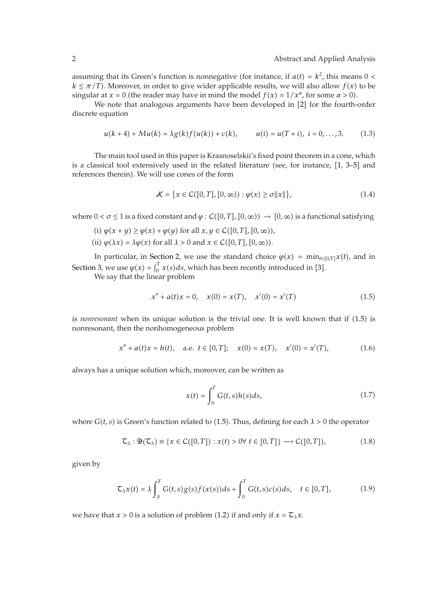assuming that its Green's function is nonnegative (for instance, if  $a(t) = k^2$ , this means  $0 <$  $k \leq \pi/T$ ). Moreover, in order to give wider applicable results, we will also allow  $f(x)$  to be singular at *x* = 0 (the reader may have in mind the model  $f(x) = 1/x^{\alpha}$ , for some  $\alpha > 0$ ).

We note that analogous arguments have been developed in  $[2]$  for the fourth-order discrete equation

$$
u(k+4) + Mu(k) = \lambda g(k)f(u(k)) + c(k), \qquad u(i) = u(T+i), \ i = 0, \dots, 3. \tag{1.3}
$$

The main tool used in this paper is Krasnoselskii's fixed point theorem in a cone, which is a classical tool extensively used in the related literature (see, for instance, [1, 3–5] and references therein). We will use cones of the form

$$
\mathcal{K} = \{x \in C([0, T], [0, \infty)) : \varphi(x) \ge \sigma ||x||\},\tag{1.4}
$$

where  $0 < \sigma \leq 1$  is a fixed constant and  $\varphi : \mathcal{C}([0,T],[0,\infty)) \to [0,\infty)$  is a functional satisfying

(i) 
$$
\varphi(x+y) \ge \varphi(x) + \varphi(y)
$$
 for all  $x, y \in C([0, T], [0, \infty))$ ,

(ii)  $\varphi(\lambda x) = \lambda \varphi(x)$  for all  $\lambda > 0$  and  $x \in C([0, T], [0, \infty)).$ 

In particular, in Section 2, we use the standard choice  $\varphi(x) = \min_{t \in [0,T]} x(t)$ , and in Section 3, we use  $\varphi(x) = \int_0^T x(s)ds$ , which has been recently introduced in [3].

We say that the linear problem

$$
x'' + a(t)x = 0, \quad x(0) = x(T), \quad x'(0) = x'(T)
$$
\n(1.5)

is *nonresonant* when its unique solution is the trivial one. It is well known that if (1.5) is nonresonant, then the nonhomogeneous problem

$$
x'' + a(t)x = h(t), \quad \text{a.e. } t \in [0, T]; \quad x(0) = x(T), \quad x'(0) = x'(T), \tag{1.6}
$$

always has a unique solution which, moreover, can be written as

$$
x(t) = \int_0^T G(t,s)h(s)ds,
$$
\n(1.7)

where  $G(t, s)$  is Green's function related to (1.5). Thus, defining for each  $\lambda > 0$  the operator

$$
\mathcal{L}_{\lambda}: \mathfrak{D}(\mathcal{L}_{\lambda}) \equiv \{x \in C([0, T]) : x(t) > 0 \forall t \in [0, T]\} \longrightarrow C([0, T]), \tag{1.8}
$$

given by

$$
\mathcal{L}_{\lambda}x(t) = \lambda \int_0^T G(t,s)g(s)f(x(s))ds + \int_0^T G(t,s)c(s)ds, \quad t \in [0,T],
$$
\n(1.9)

we have that  $x > 0$  is a solution of problem (1.2) if and only if  $x = \mathcal{T}_{\lambda}x$ .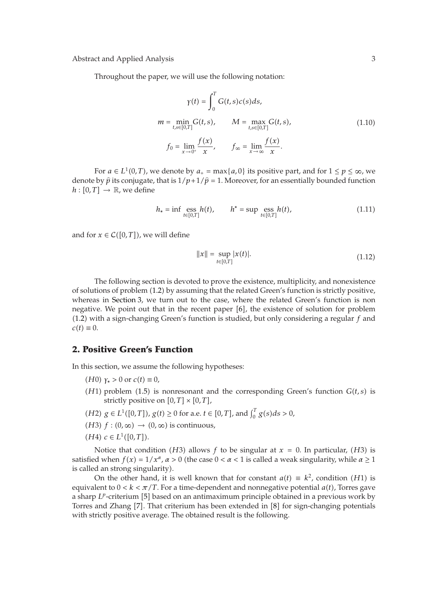Throughout the paper, we will use the following notation:

$$
\gamma(t) = \int_0^T G(t, s)c(s)ds,
$$
\n
$$
m = \min_{t, s \in [0,T]} G(t, s), \qquad M = \max_{t, s \in [0,T]} G(t, s),
$$
\n
$$
f_0 = \lim_{x \to 0^+} \frac{f(x)}{x}, \qquad f_\infty = \lim_{x \to \infty} \frac{f(x)}{x}.
$$
\n(1.10)

For  $a \in L^1(0,T)$ , we denote by  $a_+ = \max\{a, 0\}$  its positive part, and for  $1 \le p \le \infty$ , we denote by  $\hat{p}$  its conjugate, that is  $1/p+1/\hat{p} = 1$ . Moreover, for an essentially bounded function  $h: [0, T] \rightarrow \mathbb{R}$ , we define

$$
h_* = \inf \underset{t \in [0,T]}{\text{ess } h(t)}, \qquad h^* = \sup \underset{t \in [0,T]}{\text{ess } h(t)}, \tag{1.11}
$$

and for  $x \in C([0,T])$ , we will define

$$
||x|| = \sup_{t \in [0,T]} |x(t)|. \tag{1.12}
$$

The following section is devoted to prove the existence, multiplicity, and nonexistence of solutions of problem (1.2) by assuming that the related Green's function is strictly positive, whereas in Section 3, we turn out to the case, where the related Green's function is non negative. We point out that in the recent paper  $[6]$ , the existence of solution for problem -1.2 with a sign-changing Green's function is studied, but only considering a regular *f* and  $c(t) \equiv 0.$ 

# **2. Positive Green's Function**

In this section, we assume the following hypotheses:

- $(H0)$  γ<sup>∗</sup> > 0 or *c*(*t*) ≡ 0,
- $(H1)$  problem (1.5) is nonresonant and the corresponding Green's function  $G(t, s)$  is strictly positive on  $[0, T] \times [0, T]$ ,
- *(H2) g* ∈ *L*<sup>1</sup>([0,*T*]), *g*(*t*) ≥ 0 for a.e. *t* ∈ [0,*T*], and  $\int_0^T g(s) ds > 0$ ,
- $(H3)$   $f: (0, \infty) \rightarrow (0, \infty)$  is continuous,
- $(H4)$   $c \in L^1([0,T]).$

Notice that condition (*H*3) allows *f* to be singular at  $x = 0$ . In particular, (*H*3) is satisfied when  $f(x) = 1/x^{\alpha}$ ,  $\alpha > 0$  (the case  $0 < \alpha < 1$  is called a weak singularity, while  $\alpha \ge 1$ is called an strong singularity).

On the other hand, it is well known that for constant  $a(t) \equiv k^2$ , condition  $(H1)$  is equivalent to  $0 < k < \pi/T$ . For a time-dependent and nonnegative potential  $a(t)$ , Torres gave a sharp *LP*-criterium [5] based on an antimaximum principle obtained in a previous work by Torres and Zhang  $[7]$ . That criterium has been extended in  $[8]$  for sign-changing potentials with strictly positive average. The obtained result is the following.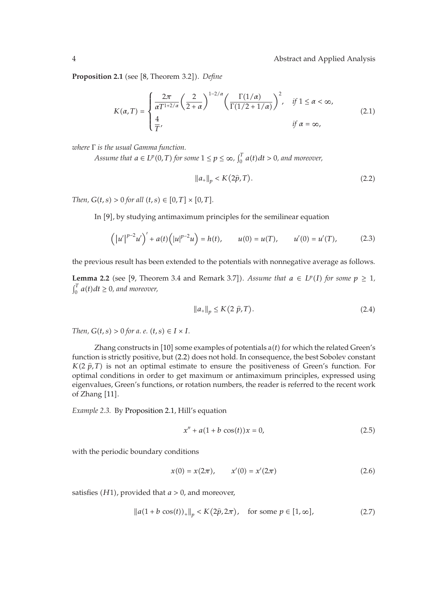**Proposition 2.1** (see [8, Theorem 3.2]). *Define* 

$$
K(\alpha, T) = \begin{cases} \frac{2\pi}{\alpha T^{1+2/\alpha}} \left( \frac{2}{2+\alpha} \right)^{1-2/\alpha} \left( \frac{\Gamma(1/\alpha)}{\Gamma(1/2+1/\alpha)} \right)^2, & \text{if } 1 \le \alpha < \infty, \\ \frac{4}{T}, & \text{if } \alpha = \infty, \end{cases}
$$
(2.1)

*where* Γ *is the usual Gamma function.*

*Assume that*  $a \in L^p(0,T)$  for some  $1 \leq p \leq \infty$ ,  $\int_0^T a(t) dt > 0$ , and moreover,

$$
\|a_{+}\|_{p} < K(2\hat{p}, T). \tag{2.2}
$$

*Then,*  $G(t, s) > 0$  *for all*  $(t, s) \in [0, T] \times [0, T]$ *.* 

In [9], by studying antimaximum principles for the semilinear equation

$$
(|u'|^{p-2}u')' + a(t)(|u|^{p-2}u) = h(t), \qquad u(0) = u(T), \qquad u'(0) = u'(T), \tag{2.3}
$$

the previous result has been extended to the potentials with nonnegative average as follows.

**Lemma 2.2** (see [9, Theorem 3.4 and Remark 3.7]). Assume that  $a \in L^p(I)$  for some  $p \ge 1$ ,  $\int_0^T \phi(t) dt \ge 0$ , and we we we  $\int_0^T a(t) dt \ge 0$ , and moreover,

$$
||a_+||_p \le K(2 \hat{p}, T). \tag{2.4}
$$

*Then,*  $G(t, s) > 0$  *for a. e.*  $(t, s) \in I \times I$ *.* 

Zhang constructs in [10] some examples of potentials a(*t*) for which the related Green's function is strictly positive, but (2.2) does not hold. In consequence, the best Sobolev constant  $K(2 \hat{p}, T)$  is not an optimal estimate to ensure the positiveness of Green's function. For optimal conditions in order to get maximum or antimaximum principles expressed using optimal conditions in order to get maximum or antimaximum principles, expressed using eigenvalues, Green's functions, or rotation numbers, the reader is referred to the recent work of Zhang  $[11]$ .

*Example 2.3.* By Proposition 2.1, Hill's equation

$$
x'' + a(1 + b \cos(t))x = 0,
$$
\n(2.5)

with the periodic boundary conditions

$$
x(0) = x(2\pi), \qquad x'(0) = x'(2\pi) \tag{2.6}
$$

satisfies (*H*1), provided that *a* > 0, and moreover,

$$
\|a(1+b\cos(t))_{+}\|_{p} < K(2\hat{p}, 2\pi), \quad \text{for some } p \in [1, \infty], \tag{2.7}
$$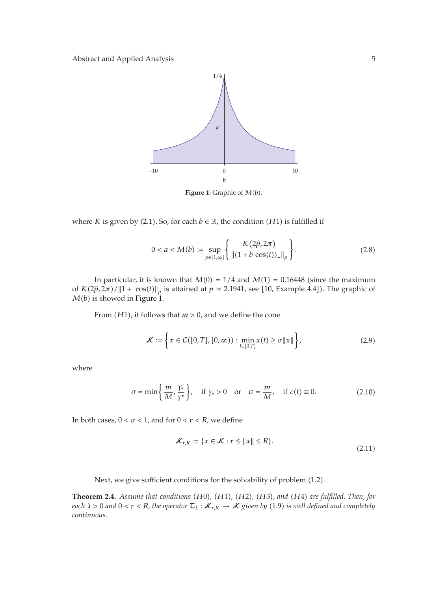

**Figure 1:** Graphic of *<sup>M</sup>*-*b*.

where *K* is given by (2.1). So, for each  $b \in \mathbb{R}$ , the condition (*H*1) is fulfilled if

$$
0 < a < M(b) := \sup_{p \in [1,\infty]} \left\{ \frac{K(2\hat{p}, 2\pi)}{\|(1+b\cos(t))_+\|_p} \right\}.
$$
\n(2.8)

In particular, it is known that  $M(0) = 1/4$  and  $M(1) = 0.16448$  (since the maximum of *K*( $2\hat{p}$ ,  $2\pi$ )/ $||1 + \cos(t)||_p$  is attained at  $p \approx 2.1941$ , see [10, Example 4.4]). The graphic of *M*(*h*) is showed in Figure 1 *M*-*b* is showed in Figure 1.

From (*H*1), it follows that *m* > 0, and we define the cone

$$
\mathcal{K} := \left\{ x \in C([0, T], [0, \infty)) : \min_{t \in [0, T]} x(t) \ge \sigma ||x|| \right\},\tag{2.9}
$$

where

$$
\sigma = \min\left\{\frac{m}{M}, \frac{\gamma_*}{\gamma^*}\right\}, \quad \text{if } \gamma_* > 0 \quad \text{or} \quad \sigma = \frac{m}{M}, \quad \text{if } c(t) \equiv 0. \tag{2.10}
$$

In both cases,  $0 < \sigma < 1$ , and for  $0 < r < R$ , we define

$$
\mathcal{K}_{r,R} := \{ x \in \mathcal{K} : r \le ||x|| \le R \}. \tag{2.11}
$$

Next, we give sufficient conditions for the solvability of problem (1.2).

**Theorem 2.4.** *Assume that conditions* (*H*0*)*, (*H*1*)*, (*H*2*)*, (*H3)*, and (*H4*) are fulfilled. Then, for  $\det A > 0$  and  $0 \le r \le R$  the operator  $\mathcal{T}_r : \mathcal{K}_{r-1} \to \mathcal{K}_{r-1}$  and  $\det A > 0$  is suell defined and com each  $\lambda >0$  and  $0 < r < R$ , the operator  $\mathcal{I}_\lambda : \mathcal{K}_{r,R} \to \mathcal{K}$  given by (1.9) is well defined and completely *continuous.*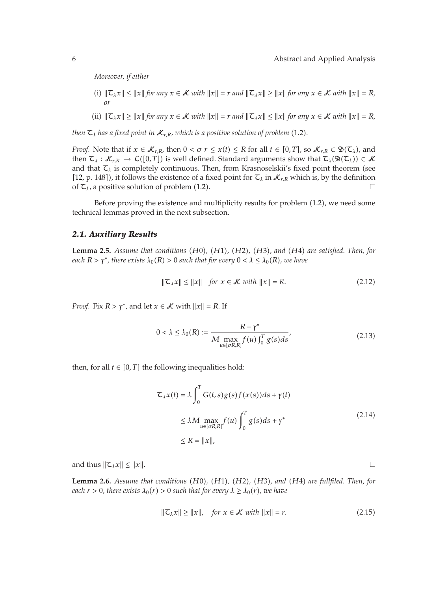*Moreover, if either*

- $\|T(x)\| \leq \|x\|$  for any  $x \in \mathcal{K}$  with  $\|x\| = r$  and  $\|T(x)\| \geq \|x\|$  for any  $x \in \mathcal{K}$  with  $\|x\| = R$ , *or*
- (ii)  $\|\mathcal{L}_\lambda x\| \geq \|x\|$  for any  $x \in \mathcal{K}$  with  $\|x\| = r$  and  $\|\mathcal{L}_\lambda x\| \leq \|x\|$  for any  $x \in \mathcal{K}$  with  $\|x\| = R$ ,

then  $\mathsf{C}_\lambda$  has a fixed point in  $\mathcal{K}_{r,R}$ , which is a positive solution of problem (1.2).

*Proof.* Note that if  $x \in \mathcal{K}_{r,R}$ , then  $0 < \sigma r \leq x(t) \leq R$  for all  $t \in [0,T]$ , so  $\mathcal{K}_{r,R} \subset \mathfrak{D}(\mathcal{L}_{\lambda})$ , and then  $\mathcal{I}_\lambda: \mathcal{K}_{r,R} \to C([0,T])$  is well defined. Standard arguments show that  $\mathcal{I}_\lambda(\mathfrak{D}(\mathcal{I}_\lambda)) \subset \mathcal{K}$ and that  $\tau_{\lambda}$  is completely continuous. Then, from Krasnoselskii's fixed point theorem (see [12, p. 148]), it follows the existence of a fixed point for  $\mathcal{L}_{\lambda}$  in  $\mathcal{K}_{r,R}$  which is, by the definition of  $\mathsf{Z}_\lambda$ , a positive solution of problem (1.2).  $\Box$ 

Before proving the existence and multiplicity results for problem (1.2), we need some technical lemmas proved in the next subsection.

#### *2.1. Auxiliary Results*

**Lemma 2.5.** *Assume that conditions* (*H*0), (*H1*), (*H2*), (*H3*), and (*H4*) are satisfied. Then, for each  $R > x^*$ , there exists  $\lambda_2(R) > 0$  such that for every  $0 < \lambda < \lambda_2(R)$ , we have *each*  $R > \gamma^*$ , there exists  $\lambda_0(R) > 0$  such that for every  $0 < \lambda \leq \lambda_0(R)$ , we have

$$
\|\mathcal{L}_\lambda x\| \le \|x\| \quad \text{for } x \in \mathcal{K} \text{ with } \|x\| = R. \tag{2.12}
$$

*Proof.* Fix  $R > \gamma^*$ , and let  $x \in \mathcal{K}$  with  $||x|| = R$ . If

$$
0 < \lambda \le \lambda_0(R) := \frac{R - \gamma^*}{M \max_{u \in [\sigma R, R]} f(u) \int_0^T g(s) ds},\tag{2.13}
$$

then, for all  $t \in [0, T]$  the following inequalities hold:

$$
\mathcal{L}_{\lambda}x(t) = \lambda \int_0^T G(t,s)g(s)f(x(s))ds + \gamma(t)
$$
  
\n
$$
\leq \lambda M \max_{u \in [\sigma R,R]} f(u) \int_0^T g(s)ds + \gamma^*
$$
\n
$$
\leq R = ||x||,
$$
\n(2.14)

and thus  $\|\mathcal{L}_\lambda x\| \leq \|x\|$ .

**Lemma 2.6.** *Assume that conditions* (*H*0), (*H*1), (*H2*), (*H3*), and (*H4*) are fullfiled. Then, for each  $r > 0$  there exists  $\lambda_2(r) > 0$  such that for exerci $\lambda_2 > \lambda_2(r)$  are have  $\epsilon$  *each*  $r > 0$ *, there exists*  $\lambda_0(r) > 0$  *such that for every*  $\lambda \geq \lambda_0(r)$ *, we have* 

$$
\|\mathcal{L}_\lambda x\| \ge \|x\|, \quad \text{for } x \in \mathcal{K} \text{ with } \|x\| = r. \tag{2.15}
$$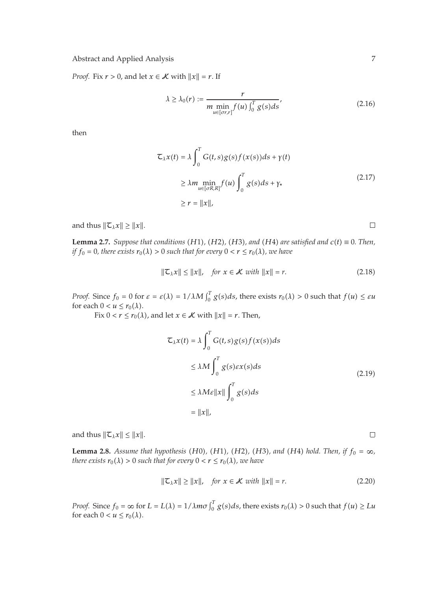*Proof.* Fix  $r > 0$ , and let  $x \in \mathcal{K}$  with  $||x|| = r$ . If

$$
\lambda \ge \lambda_0(r) := \frac{r}{m \min_{u \in [\sigma r, r]} f(u) \int_0^T g(s) ds},
$$
\n(2.16)

then

$$
\mathcal{L}_{\lambda}x(t) = \lambda \int_0^T G(t,s)g(s)f(x(s))ds + \gamma(t)
$$
  
\n
$$
\geq \lambda m \min_{u \in [\sigma R,R]} f(u) \int_0^T g(s)ds + \gamma_*
$$
  
\n
$$
\geq r = ||x||,
$$
\n(2.17)

and thus  $\|\mathcal{I}_\lambda x\| \geq \|x\|.$ 

**Lemma 2.7.** *Suppose that conditions*  $(H1)$ *,*  $(H2)$ *,*  $(H3)$ *, and*  $(H4)$  *are satisfied and*  $c(t) \equiv 0$ *. Then,*<br>*if*  $f_2 = 0$ , there exists  $r_2(1) > 0$  such that for exery  $0 < r < r_2(1)$ , we have *if*  $f_0 = 0$ , there exists  $r_0(\lambda) > 0$  such that for every  $0 < r \leq r_0(\lambda)$ , we have

$$
\|\mathcal{L}_{\lambda}x\| \le \|x\|, \quad \text{for } x \in \mathcal{K} \text{ with } \|x\| = r. \tag{2.18}
$$

*Proof.* Since  $f_0 = 0$  for  $\varepsilon = \varepsilon(\lambda) = 1/\lambda M \int_0^T g(s) ds$ , there exists  $r_0(\lambda) > 0$  such that  $f(u) \leq \varepsilon u$ for each  $0 < u \leq r_0(\lambda)$ .

Fix  $0 < r \leq r_0(\lambda)$ , and let  $x \in \mathcal{K}$  with  $||x|| = r$ . Then,

$$
\mathcal{L}_{\lambda}x(t) = \lambda \int_{0}^{T} G(t,s)g(s)f(x(s))ds
$$
  
\n
$$
\leq \lambda M \int_{0}^{T} g(s)\varepsilon x(s)ds
$$
  
\n
$$
\leq \lambda M\varepsilon ||x|| \int_{0}^{T} g(s)ds
$$
  
\n
$$
= ||x||,
$$
 (2.19)

and thus  $\|\mathcal{I}_\lambda x\| \leq \|x\|.$ 

**Lemma 2.8.** *Assume that hypothesis* (*H*0), (*H*1), (*H2*), (*H3*), and (*H4*) *hold. Then, if*  $f_0 = \infty$ , there exists  $\mathbf{r}_s(\lambda) > 0$  such that for exerci $0 < \mathbf{r} \leq \mathbf{r}_s(\lambda)$ , we have *there exists*  $r_0(\lambda) > 0$  such that for every  $0 < r \leq r_0(\lambda)$ , we have

$$
\|\mathcal{L}_{\lambda}x\| \ge \|x\|, \quad \text{for } x \in \mathcal{K} \text{ with } \|x\| = r. \tag{2.20}
$$

*Proof.* Since  $f_0 = \infty$  for  $L = L(\lambda) = 1/\lambda m \sigma \int_0^T g(s) ds$ , there exists  $r_0(\lambda) > 0$  such that  $f(u) \geq Lu$ for each  $0 < u \leq r_0(\lambda)$ .

 $\Box$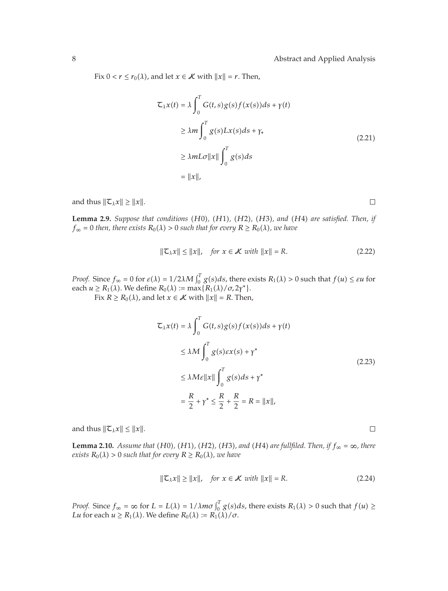Fix  $0 < r \leq r_0(\lambda)$ , and let  $x \in \mathcal{K}$  with  $||x|| = r$ . Then,

$$
\mathcal{L}_{\lambda}x(t) = \lambda \int_{0}^{T} G(t,s)g(s)f(x(s))ds + \gamma(t)
$$
  
\n
$$
\geq \lambda m \int_{0}^{T} g(s)Lx(s)ds + \gamma_{*}
$$
  
\n
$$
\geq \lambda mL\sigma ||x|| \int_{0}^{T} g(s)ds
$$
  
\n
$$
= ||x||,
$$
 (2.21)

and thus  $\|\mathcal{I}_{\lambda}x\| \geq \|x\|.$ 

 $\Box$ 

**Lemma 2.9.** Suppose that conditions (H0), (H1), (H2), (H3), and (H4) are satisfied. Then, if  $f = 0$  then, there exists  $R_2(1) > 0$  such that for exery  $R > R_2(1)$ , we have  $f_{\infty} = 0$  then, there exists  $R_0(\lambda) > 0$  such that for every  $R \ge R_0(\lambda)$ , we have

$$
\|\mathcal{L}_{\lambda}x\| \le \|x\|, \quad \text{for } x \in \mathcal{K} \text{ with } \|x\| = R. \tag{2.22}
$$

*Proof.* Since  $f_{\infty} = 0$  for  $\varepsilon(\lambda) = 1/2\lambda M \int_0^T g(s) ds$ , there exists  $R_1(\lambda) > 0$  such that  $f(u) \leq \varepsilon u$  for each  $u \ge R_1(\lambda)$ . We define  $R_0(\lambda) := \max\{R_1(\lambda)/\sigma, 2\gamma^*\}.$ Fix  $R \ge R_0(\lambda)$ , and let  $x \in \mathcal{K}$  with  $||x|| = R$ . Then,

 $\mathcal{L}_{\lambda} x(t) = \lambda \int_0^T$  $\mathbf{0}$  $G(t,s)g(s)f(x(s))ds + \gamma(t)$ 

$$
\leq \lambda M \int_0^T g(s) \varepsilon x(s) + \gamma^*
$$
  
\n
$$
\leq \lambda M \varepsilon ||x|| \int_0^T g(s) ds + \gamma^*
$$
  
\n
$$
= \frac{R}{2} + \gamma^* \leq \frac{R}{2} + \frac{R}{2} = R = ||x||,
$$
\n(2.23)

and thus  $\|\mathcal{L}_{\lambda}x\| \leq \|x\|.$ 

**Lemma 2.10.** *Assume that* (*H*0), (*H*1), (*H2*), (*H3*), and (*H4*) are fullfiled. Then, if  $f_{\infty} = \infty$ , there exists  $P_{\infty}(1) > 0$  such that for exery  $P_{\infty}(1) > P_{\infty}(1)$ , you have  $\mathcal{R}_0(\lambda) > 0$  such that for every  $R \ge R_0(\lambda)$ , we have

$$
\|\mathcal{L}_{\lambda}x\| \ge \|x\|, \quad \text{for } x \in \mathcal{K} \text{ with } \|x\| = R. \tag{2.24}
$$

*Proof.* Since  $f_{\infty} = \infty$  for  $L = L(\lambda) = 1/\lambda m \sigma \int_0^T g(s) ds$ , there exists  $R_1(\lambda) > 0$  such that  $f(u) \ge$ *Lu* for each  $u \geq R_1(\lambda)$ . We define  $R_0(\lambda) := R_1(\lambda)/\sigma$ .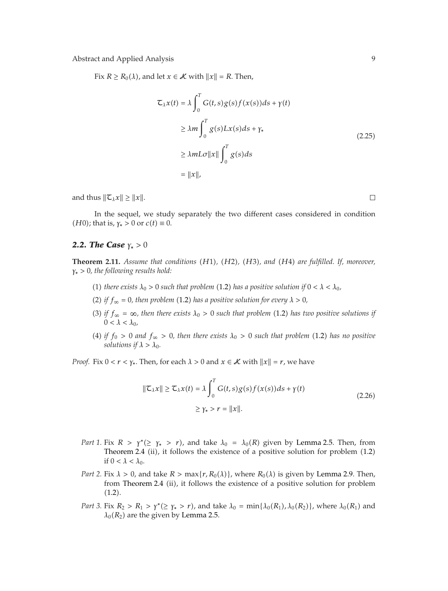Fix  $R \ge R_0(\lambda)$ , and let  $x \in \mathcal{K}$  with  $||x|| = R$ . Then,

$$
\mathcal{L}_{\lambda}x(t) = \lambda \int_{0}^{T} G(t,s)g(s)f(x(s))ds + \gamma(t)
$$
  
\n
$$
\geq \lambda m \int_{0}^{T} g(s)Lx(s)ds + \gamma_{*}
$$
  
\n
$$
\geq \lambda mL\sigma ||x|| \int_{0}^{T} g(s)ds
$$
  
\n
$$
= ||x||,
$$

and thus  $\|\mathcal{I}_{\lambda}x\| \geq \|x\|.$ 

In the sequel, we study separately the two different cases considered in condition *(H0)*; that is,  $\gamma_* > 0$  or  $c(t) \equiv 0$ .

### *2.2. The Case γ*<sup>∗</sup> *>* 0

**Theorem 2.11.** *Assume that conditions* (*H*1), (*H2*), (*H3*), and (*H4*) are fulfilled. If, moreover,<br> $\chi > 0$  the following results hold: *γ*<sup>∗</sup> *>* 0*, the following results hold:*

- (1) there exists  $\lambda_0 > 0$  such that problem (1.2) has a positive solution if  $0 < \lambda < \lambda_0$ ,
- (2) if  $f_{\infty} = 0$ , then problem (1.2) has a positive solution for every  $\lambda > 0$ ,
- (3) if  $f_{\infty} = \infty$ , then there exists  $\lambda_0 > 0$  such that problem (1.2) has two positive solutions if  $0 < \lambda < \lambda_0$
- (4) if  $f_0 > 0$  and  $f_\infty > 0$ , then there exists  $\lambda_0 > 0$  such that problem (1.2) has no positive *solutions if*  $\lambda > \lambda_0$ *.*

*Proof.* Fix  $0 < r < \gamma_*$ . Then, for each  $\lambda > 0$  and  $x \in \mathcal{K}$  with  $||x|| = r$ , we have

$$
\|\mathcal{L}_{\lambda}x\| \geq \mathcal{L}_{\lambda}x(t) = \lambda \int_0^T G(t,s)g(s)f(x(s))ds + \gamma(t)
$$
  
 
$$
\geq \gamma_* > r = \|x\|.
$$
 (2.26)

- *Part 1.* Fix  $R > \gamma^* (\geq \gamma_* > r)$ , and take  $\lambda_0 = \lambda_0(R)$  given by Lemma 2.5. Then, from Theorem 2.4 (ii), it follows the existence of a positive solution for problem (1.2) if  $0 < \lambda < \lambda_0$ .
- *Part 2.* Fix  $\lambda > 0$ , and take  $R > \max\{r, R_0(\lambda)\}\$ , where  $R_0(\lambda)$  is given by Lemma 2.9. Then, from Theorem 2.4 (ii), it follows the existence of a positive solution for problem  $(1.2).$
- *Part 3.* Fix  $R_2 > R_1 > \gamma^* (\geq \gamma^* > r)$ , and take  $\lambda_0 = \min{\{\lambda_0(R_1), \lambda_0(R_2)\}}$ , where  $\lambda_0(R_1)$  and  $\lambda_0(R_2)$  are the given by Lemma 2.5.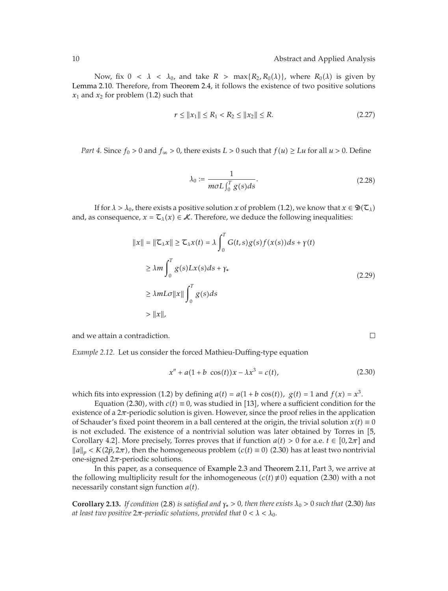$\Box$ 

Now, fix  $0 < \lambda < \lambda_0$ , and take  $R > \max\{R_2, R_0(\lambda)\}\)$ , where  $R_0(\lambda)$  is given by Lemma 2.10. Therefore, from Theorem 2.4, it follows the existence of two positive solutions  $x_1$  and  $x_2$  for problem  $(1.2)$  such that

$$
r \le ||x_1|| \le R_1 < R_2 \le ||x_2|| \le R. \tag{2.27}
$$

*Part 4.* Since  $f_0 > 0$  and  $f_{\infty} > 0$ , there exists  $L > 0$  such that  $f(u) \geq Lu$  for all  $u > 0$ . Define

$$
\lambda_0 := \frac{1}{m\sigma L \int_0^T g(s)ds}.
$$
\n(2.28)

If for  $\lambda > \lambda_0$ , there exists a positive solution  $x$  of problem (1.2), we know that  $x \in \mathfrak{D}(\mathsf{C}_\lambda)$ and, as consequence,  $x = \mathcal{T}_{\lambda}(x) \in \mathcal{K}$ . Therefore, we deduce the following inequalities:

$$
||x|| = ||\mathcal{L}_\lambda x|| \ge \mathcal{L}_\lambda x(t) = \lambda \int_0^T G(t,s)g(s)f(x(s))ds + \gamma(t)
$$
  
\n
$$
\ge \lambda m \int_0^T g(s)Lx(s)ds + \gamma_*
$$
  
\n
$$
\ge \lambda mL\sigma ||x|| \int_0^T g(s)ds
$$
  
\n
$$
> ||x||,
$$
 (2.29)

and we attain a contradiction.

*Example 2.12.* Let us consider the forced Mathieu-Duffing-type equation

$$
x'' + a(1 + b \cos(t))x - \lambda x^3 = c(t),
$$
\n(2.30)

which fits into expression (1.2) by defining  $a(t) = a(1 + b \cos(t))$ ,  $g(t) = 1$  and  $f(x) = x^3$ .

Equation (2.30), with  $c(t) \equiv 0$ , was studied in [13], where a sufficient condition for the existence of a  $2\pi$ -periodic solution is given. However, since the proof relies in the application of Schauder's fixed point theorem in a ball centered at the origin, the trivial solution  $x(t) \equiv 0$ is not excluded. The existence of a nontrivial solution was later obtained by Torres in 5, Corollary 4.2]. More precisely, Torres proves that if function  $a(t) > 0$  for a.e.  $t \in [0, 2\pi]$  and  $||a||_p < K(2\hat{p}, 2\pi)$ , then the homogeneous problem  $(c(t) \equiv 0)$  (2.30) has at least two nontrivial one-signed  $2\pi$ -periodic solutions one-signed 2*π*-periodic solutions.

In this paper, as a consequence of Example 2.3 and Theorem 2.11, Part 3, we arrive at the following multiplicity result for the inhomogeneous  $(c(t) \neq 0)$  equation (2.30) with a not necessarily constant sign function  $a(t)$ .

**Corollary 2.13.** *If condition* (2.8) *is satisfied and*  $\gamma_*$  > 0*, then there exists*  $\lambda_0$  > 0 *such that* (2.30) *has* the least two positive  $2\pi$ -periodic solutions, provided that  $0 < \lambda < \lambda_0$ . *at least two positive*  $2\pi$ -periodic solutions, provided that  $0 < \lambda < \lambda_0$ .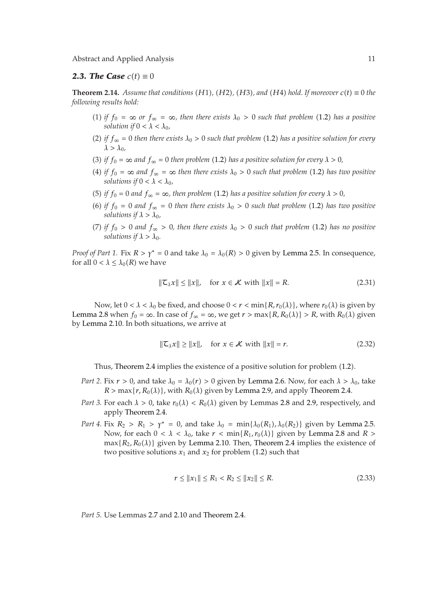## **2.3. The Case**  $c(t) \equiv 0$

**Theorem 2.14.** Assume that conditions (H1), (H2), (H3), and (H4) hold. If moreover  $c(t) \equiv 0$  the folloging results hold: *following results hold:*

- (1) if  $f_0 = \infty$  or  $f_\infty = \infty$ , then there exists  $\lambda_0 > 0$  such that problem (1.2) has a positive *solution if*  $0 < \lambda < \lambda_0$ *,*
- (2) if  $f_{\infty} = 0$  then there exists  $\lambda_0 > 0$  such that problem (1.2) has a positive solution for every  $\lambda > \lambda_0$
- (3) if  $f_0 = \infty$  and  $f_\infty = 0$  then problem (1.2) has a positive solution for every  $\lambda > 0$ ,
- (4) if  $f_0 = \infty$  and  $f_\infty = \infty$  then there exists  $\lambda_0 > 0$  such that problem (1.2) has two positive *solutions if*  $0 < \lambda < \lambda_0$ *,*
- (5) *if*  $f_0 = 0$  *and*  $f_\infty = \infty$ , then problem (1.2) has a positive solution for every  $\lambda > 0$ ,
- (6) if  $f_0 = 0$  and  $f_\infty = 0$  then there exists  $\lambda_0 > 0$  such that problem (1.2) has two positive *solutions if*  $\lambda > \lambda_0$ ,
- $(7)$  *if*  $f_0 > 0$  and  $f_\infty > 0$ , then there exists  $\lambda_0 > 0$  such that problem (1.2) has no positive *solutions if*  $\lambda > \lambda_0$ *.*

*Proof of Part 1.* Fix  $R > \gamma^* = 0$  and take  $\lambda_0 = \lambda_0(R) > 0$  given by Lemma 2.5. In consequence, for all  $0 < \lambda \leq \lambda_0(R)$  we have

$$
\|\mathcal{L}_\lambda x\| \le \|x\|, \quad \text{for } x \in \mathcal{K} \text{ with } \|x\| = R. \tag{2.31}
$$

Now, let  $0 < \lambda < \lambda_0$  be fixed, and choose  $0 < r < \min\{R, r_0(\lambda)\}\text{, where } r_0(\lambda)$  is given by Lemma 2.8 when  $f_0 = \infty$ . In case of  $f_\infty = \infty$ , we get  $r > \max\{R, R_0(\lambda)\} > R$ , with  $R_0(\lambda)$  given by Lemma 2.10. In both situations, we arrive at

$$
\|\mathcal{L}_{\lambda}x\| \ge \|x\|, \quad \text{for } x \in \mathcal{K} \text{ with } \|x\| = r. \tag{2.32}
$$

Thus, Theorem 2.4 implies the existence of a positive solution for problem (1.2).

- *Part 2.* Fix  $r > 0$ , and take  $\lambda_0 = \lambda_0(r) > 0$  given by Lemma 2.6. Now, for each  $\lambda > \lambda_0$ , take  $R > \max\{r, R_0(\lambda)\}\$ , with  $R_0(\lambda)$  given by Lemma 2.9, and apply Theorem 2.4.
- *Part 3.* For each  $\lambda > 0$ , take  $r_0(\lambda) < R_0(\lambda)$  given by Lemmas 2.8 and 2.9, respectively, and apply Theorem 2.4.
- *Part 4.* Fix  $R_2 > R_1 > \gamma^* = 0$ , and take  $\lambda_0 = \min{\{\lambda_0(R_1), \lambda_0(R_2)\}}$  given by Lemma 2.5. Now, for each  $0 < \lambda < \lambda_0$ , take  $r < \min\{R_1, r_0(\lambda)\}\$  given by Lemma 2.8 and  $R >$  $max\{R_2, R_0(\lambda)\}\$  given by Lemma 2.10. Then, Theorem 2.4 implies the existence of two positive solutions  $x_1$  and  $x_2$  for problem  $(1.2)$  such that

$$
r \le ||x_1|| \le R_1 < R_2 \le ||x_2|| \le R. \tag{2.33}
$$

*Part 5.* Use Lemmas 2.7 and 2.10 and Theorem 2.4.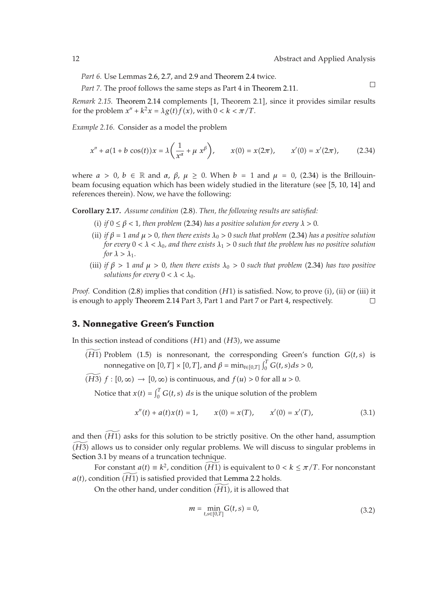$\Box$ 

*Part 6.* Use Lemmas 2.6, 2.7, and 2.9 and Theorem 2.4 twice.

*Part 7.* The proof follows the same steps as Part 4 in Theorem 2.11.

*Remark 2.15.* Theorem 2.14 complements [1, Theorem 2.1], since it provides similar results for the problem  $x'' + k^2x = \lambda g(t)f(x)$ , with  $0 < k < \pi/T$ .

*Example 2.16.* Consider as a model the problem

$$
x'' + a(1 + b \cos(t))x = \lambda \left(\frac{1}{x^{\alpha}} + \mu x^{\beta}\right), \qquad x(0) = x(2\pi), \qquad x'(0) = x'(2\pi), \tag{2.34}
$$

where  $a > 0$ ,  $b \in \mathbb{R}$  and  $\alpha$ ,  $\beta$ ,  $\mu \ge 0$ . When  $b = 1$  and  $\mu = 0$ , (2.34) is the Brillouinbeam focusing equation which has been widely studied in the literature (see [5, 10, 14] and references therein). Now, we have the following:

**Corollary 2.17.** *Assume condition* (2.8). Then, the following results are satisfied:

- (i) if  $0 \le \beta < 1$ , then problem (2.34) has a positive solution for every  $\lambda > 0$ .
- (ii) if  $\beta = 1$  and  $\mu > 0$ , then there exists  $\lambda_0 > 0$  such that problem (2.34) has a positive solution *for every*  $0 < \lambda < \lambda_0$ , and there exists  $\lambda_1 > 0$  such that the problem has no positive solution *for*  $\lambda > \lambda_1$ *.*
- (iii) if  $\beta > 1$  and  $\mu > 0$ , then there exists  $\lambda_0 > 0$  such that problem (2.34) has two positive *solutions for every*  $0 < \lambda < \lambda_0$ *.*

*Proof.* Condition (2.8) implies that condition (*H*1) is satisfied. Now, to prove (i), (ii) or (iii) it is enough to apply Theorem 2.14 Part 3, Part 1 and Part 7 or Part 4, respectively.  $\Box$ 

# **3. Nonnegative Green's Function**

In this section instead of conditions  $(H1)$  and  $(H3)$ , we assume

- $\widetilde{H(1)}$  Problem (1.5) is nonresonant, the corresponding Green's function  $G(t, s)$  is nonnegative on  $[0, T] \times [0, T]$ , and  $\beta = \min_{t \in [0, T]} \int_0^T G(t, s) ds > 0$ ,
- $\widetilde{H(13)}$   $f : [0, \infty) \rightarrow [0, \infty)$  is continuous, and  $f(u) > 0$  for all  $u > 0$ .

Notice that  $x(t) = \int_0^T G(t, s) ds$  is the unique solution of the problem

$$
x''(t) + a(t)x(t) = 1, \qquad x(0) = x(T), \qquad x'(0) = x'(T), \tag{3.1}
$$

and then  $\widetilde{H11}$  asks for this solution to be strictly positive. On the other hand, assumption  $\widetilde{H(H3)}$  allows us to consider only regular problems. We will discuss to singular problems in Section 3.1 by means of a truncation technique.

For constant  $a(t) \equiv k^2$ , condition  $\widehat{H_1}$  is equivalent to  $0 < k \leq \pi/T$ . For nonconstant  $a(t)$ , condition  $\widetilde{(H1)}$  is satisfied provided that Lemma 2.2 holds.

On the other hand, under condition  $\widetilde{H1}$ , it is allowed that

$$
m = \min_{t,s \in [0,T]} G(t,s) = 0,
$$
\n(3.2)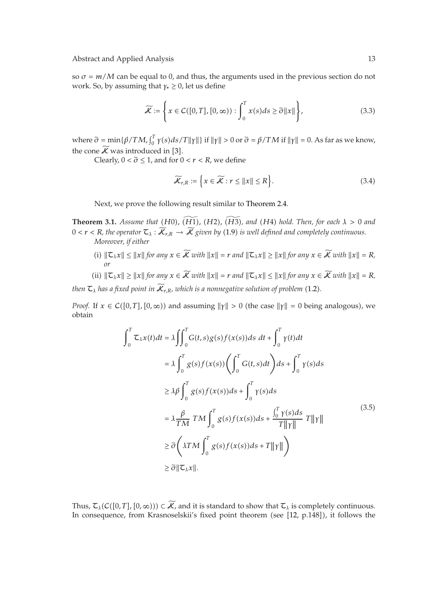so  $\sigma = m/M$  can be equal to 0, and thus, the arguments used in the previous section do not work. So, by assuming that *γ*<sup>∗</sup> ≥ 0, let us define

$$
\widetilde{\mathcal{K}} := \left\{ x \in C([0, T], [0, \infty)) : \int_0^T x(s) ds \ge \widetilde{\sigma} ||x|| \right\},\tag{3.3}
$$

where  $\tilde{\sigma} = \min{\{\beta/TM, \int_0^T \gamma(s)ds/T\|\gamma\|\}}$  if  $\|\gamma\| > 0$  or  $\tilde{\sigma} = \beta/TM$  if  $\|\gamma\| = 0$ . As far as we know, the cone  $\widetilde{\mathcal{K}}$  was introduced in [3].

Clearly,  $0 < \tilde{\sigma} \leq 1$ , and for  $0 < r < R$ , we define

$$
\widetilde{\mathcal{K}}_{r,R} := \left\{ x \in \widetilde{\mathcal{K}} : r \le ||x|| \le R \right\}.
$$
\n(3.4)

Next, we prove the following result similar to Theorem 2.4.

**Theorem 3.1.** *Assume that* (*H*0*)*, (*H*1*)*, (*H2*), (*H3*), and (*H4*) *hold. Then, for each*  $\lambda > 0$  *and*<br> $0 \le \pi \le B$  *the constant*  $\tau \rightarrow \widetilde{K}$  or  $\widetilde{K}$  comes by (1.0) is small defined and consolidate continu  $0 < r < R$ , the operator  $\mathcal{L}_{\lambda}: \mathcal{K}_{r,R} \to \mathcal{K}$  given by (1.9) is well defined and completely continuous.<br>Mayoram if sithen *Moreover, if either*

- $||\mathcal{L}_\lambda x|| \leq ||x||$  for any  $x \in \mathcal{K}$  with  $||x|| = r$  and  $||\mathcal{L}_\lambda x|| \geq ||x||$  for any  $x \in \mathcal{K}$  with  $||x|| = R$ , *or*
- (ii)  $\|\mathcal{L}_\lambda x\| \ge \|x\|$  for any  $x \in \mathcal{K}$  with  $\|x\| = r$  and  $\|\mathcal{L}_\lambda x\| \le \|x\|$  for any  $x \in \mathcal{K}$  with  $\|x\| = R$ ,

then  $\tau_{\scriptscriptstyle \lambda}$  has a fixed point in  $\mathcal{K}_{r,R}$ *, which is a nonnegative solution of problem* (1.2).

*Proof.* If  $x \in C([0, T], [0, \infty))$  and assuming  $||\gamma|| > 0$  (the case  $||\gamma|| = 0$  being analogous), we obtain

$$
\int_0^T \mathcal{L}_\lambda x(t)dt = \lambda \iint_0^T G(t,s)g(s)f(x(s))ds dt + \int_0^T \gamma(t)dt
$$
  
\n
$$
= \lambda \int_0^T g(s)f(x(s)) \left( \int_0^T G(t,s)dt \right)ds + \int_0^T \gamma(s)ds
$$
  
\n
$$
\geq \lambda \beta \int_0^T g(s)f(x(s))ds + \int_0^T \gamma(s)ds
$$
  
\n
$$
= \lambda \frac{\beta}{TM} TM \int_0^T g(s)f(x(s))ds + \frac{\int_0^T \gamma(s)ds}{T||\gamma||} T||\gamma||
$$
  
\n
$$
\geq \tilde{\sigma} \left( \lambda TM \int_0^T g(s)f(x(s))ds + T||\gamma|| \right)
$$
  
\n
$$
\geq \tilde{\sigma} ||\mathcal{L}_\lambda x||.
$$
\n(3.5)

Thus,  $\mathcal{T}_{\lambda}(\mathcal{C}([0,T],[0,\infty))) \subset \mathcal{K}$ , and it is standard to show that  $\mathcal{T}_{\lambda}$  is completely continuous. In consequence, from Krasnoselskii's fixed point theorem (see [12, p.148]), it follows the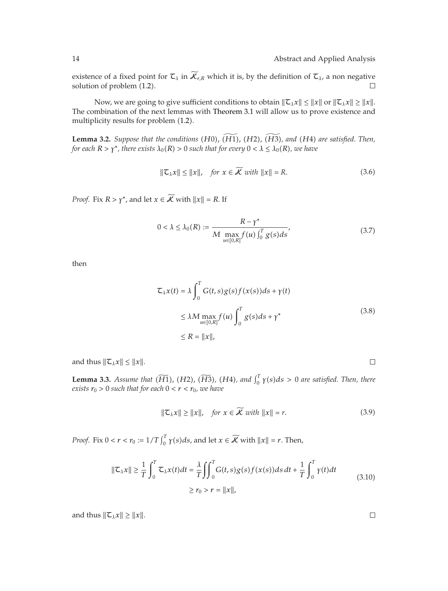existence of a fixed point for  $\mathcal{L}_{\lambda}$  in  $\widetilde{\mathcal{K}}_{r,R}$  which it is, by the definition of  $\mathcal{L}_{\lambda}$ , a non negative solution of problem (1.2). solution of problem  $(1.2)$ .

Now, we are going to give sufficient conditions to obtain  $\|\mathcal{L}_\lambda x\| \leq \|x\|$  or  $\|\mathcal{L}_\lambda x\| \geq \|x\|$ . The combination of the next lemmas with Theorem 3.1 will allow us to prove existence and multiplicity results for problem  $(1.2)$ .

**Lemma 3.2.** *Suppose that the conditions*  $(H0)$ ,  $\widetilde{H1}$ ,  $(H2)$ ,  $\widetilde{H3}$ , and  $(H4)$  are satisfied. Then,<br>for each  $R > x^*$  there exists  $\lambda_2(R) > 0$  such that for every  $0 < \lambda < \lambda_2(R)$ , we have *for each*  $R > \gamma^*$ , there exists  $\lambda_0(R) > 0$  such that for every  $0 < \lambda \leq \lambda_0(R)$ , we have

$$
\|\mathcal{L}_\lambda x\| \le \|x\|, \quad \text{for } x \in \widetilde{\mathcal{K}} \text{ with } \|x\| = R. \tag{3.6}
$$

*Proof.* Fix  $R > \gamma^*$ , and let  $x \in \widetilde{K}$  with  $||x|| = R$ . If

$$
0 < \lambda \le \lambda_0(R) := \frac{R - \gamma^*}{M \max_{u \in [0,R]} f(u) \int_0^T g(s) ds},\tag{3.7}
$$

then

$$
\mathcal{L}_{\lambda}x(t) = \lambda \int_0^T G(t,s)g(s)f(x(s))ds + \gamma(t)
$$
  
\n
$$
\leq \lambda M \max_{u \in [0,R]} f(u) \int_0^T g(s)ds + \gamma^*
$$
  
\n
$$
\leq R = ||x||,
$$
\n(3.8)

and thus  $\|\mathcal{L}_\lambda x\| \leq \|x\|$ .

**Lemma 3.3.** *Assume that*  $(\widetilde{H1})$ ,  $(H2)$ ,  $(\widetilde{H3})$ ,  $(H4)$ , and  $\int_0^T \gamma(s) ds > 0$  are satisfied. Then, there exists  $\kappa > 0$  such that for each  $0 \le \kappa \le \kappa$ , we have *exists*  $r_0 > 0$  *such that for each*  $0 < r < r_0$ *, we have* 

$$
\|\mathcal{L}_{\lambda}x\| \ge \|x\|, \quad \text{for } x \in \widetilde{\mathcal{K}} \text{ with } \|x\| = r. \tag{3.9}
$$

*Proof.* Fix  $0 < r < r_0 := 1/T \int_0^T \gamma(s) ds$ , and let  $x \in \widetilde{\mathcal{K}}$  with  $||x|| = r$ . Then,

$$
\|\mathcal{L}_{\lambda}x\| \geq \frac{1}{T} \int_0^T \mathcal{L}_{\lambda}x(t)dt = \frac{\lambda}{T} \iint_0^T G(t,s)g(s)f(x(s))ds dt + \frac{1}{T} \int_0^T \gamma(t)dt
$$
  
 
$$
\geq r_0 > r = \|x\|,
$$
 (3.10)

and thus  $\|\mathcal{I}_\lambda x\| \geq \|x\|.$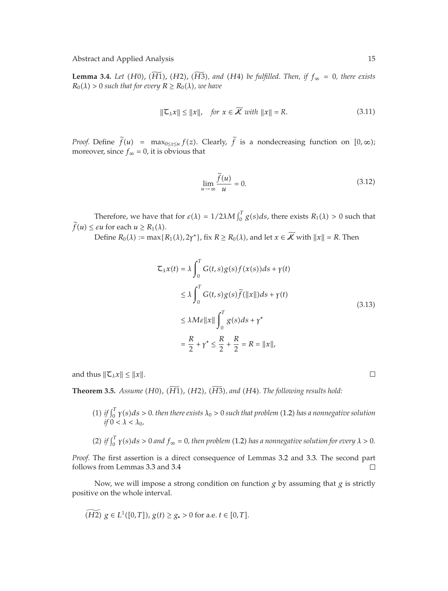**Lemma 3.4.** Let (H0), (H1), (H2), (H3), and (H4) be fulfilled. Then, if  $f_{\infty} = 0$ , there exists  $P_{\infty}(\lambda) > 0$  such that for exerge  $P_{\infty}(\lambda) > P_{\infty}(\lambda)$  and there exists  $R_0(\lambda) > 0$  *such that for every*  $R \ge R_0(\lambda)$ *, we have* 

$$
\|\mathcal{L}_\lambda x\| \le \|x\|, \quad \text{for } x \in \mathcal{K} \text{ with } \|x\| = R. \tag{3.11}
$$

*Proof.* Define  $f(u) = \max_{0 \leq z \leq u} f(z)$ . Clearly, *f* is a nondecreasing function on  $[0, \infty)$ ; moreover, since  $f_{\infty} = 0$ , it is obvious that

$$
\lim_{u \to \infty} \frac{\tilde{f}(u)}{u} = 0.
$$
\n(3.12)

Therefore, we have that for  $\varepsilon(\lambda) = 1/2\lambda M \int_0^T g(s)ds$ , there exists  $R_1(\lambda) > 0$  such that  $f(u) \leq \varepsilon u$  for each  $u \geq R_1(\lambda)$ .

Define  $R_0(\lambda) := \max\{R_1(\lambda), 2\gamma^*\}$ , fix  $R \ge R_0(\lambda)$ , and let  $x \in \mathcal{K}$  with  $||x|| = R$ . Then

$$
\mathcal{L}_{\lambda}x(t) = \lambda \int_0^T G(t,s)g(s)f(x(s))ds + \gamma(t)
$$
  
\n
$$
\leq \lambda \int_0^T G(t,s)g(s)\tilde{f}(\Vert x \Vert)ds + \gamma(t)
$$
  
\n
$$
\leq \lambda M\varepsilon \Vert x \Vert \int_0^T g(s)ds + \gamma^*
$$
  
\n
$$
= \frac{R}{2} + \gamma^* \leq \frac{R}{2} + \frac{R}{2} = R = \Vert x \Vert,
$$
\n(3.13)

and thus  $\|\mathcal{I}_\lambda x\| \leq \|x\|.$ 

**Theorem 3.5.** Assume  $(H0)$ ,  $(H1)$ ,  $(H2)$ ,  $(H3)$ , and  $(H4)$ . The following results hold:

(1) *if*  $\int_0^T \gamma(s) ds > 0$ . then there exists  $\lambda_0 > 0$  such that problem (1.2) has a nonnegative solution *if*  $0 < \lambda < \lambda_0$ *,* 

(2) if 
$$
\int_0^T \gamma(s)ds > 0
$$
 and  $f_{\infty} = 0$ , then problem (1.2) has a nonnegative solution for every  $\lambda > 0$ .

*Proof.* The first assertion is a direct consequence of Lemmas 3.2 and 3.3. The second part follows from Lemmas 3.3 and 3.4  $\Box$ 

Now, we will impose a strong condition on function *g* by assuming that *g* is strictly positive on the whole interval.

$$
\widetilde{(H2)}\ g\in L^1([0,T]),\,g(t)\geq g_*>0\text{ for a.e. }t\in[0,T].
$$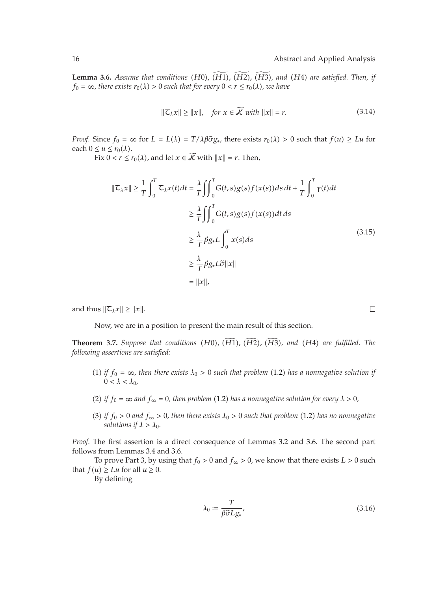**Lemma 3.6.** *Assume that conditions*  $(H0)$ ,  $(\widetilde{H1})$ ,  $(\widetilde{H2})$ ,  $(\widetilde{H3})$ , and  $(H4)$  are satisfied. Then, if  $f_2 = \infty$  *there exists*  $r_2(1) > 0$  *such that for every*  $0 \le r \le r_2(1)$ *, we have*  $f_0 = \infty$ , there exists  $r_0(\lambda) > 0$  such that for every  $0 < r \leq r_0(\lambda)$ , we have

$$
\|\mathcal{L}_{\lambda}x\| \ge \|x\|, \quad \text{for } x \in \widetilde{\mathcal{K}} \text{ with } \|x\| = r. \tag{3.14}
$$

*Proof.* Since  $f_0 = \infty$  for  $L = L(\lambda) = T/\lambda \beta \tilde{\sigma} g_*$ , there exists  $r_0(\lambda) > 0$  such that  $f(u) \geq Lu$  for each  $0 \leq u \leq r_0(\lambda)$ . each  $0 \le u \le r_0(\lambda)$ .

Fix  $0 < r \leq r_0(\lambda)$ , and let  $x \in \mathcal{K}$  with  $||x|| = r$ . Then,

$$
\|\mathcal{L}_{\lambda}x\| \geq \frac{1}{T} \int_{0}^{T} \mathcal{L}_{\lambda}x(t)dt = \frac{\lambda}{T} \iint_{0}^{T} G(t,s)g(s)f(x(s))ds dt + \frac{1}{T} \int_{0}^{T} \gamma(t)dt
$$
  

$$
\geq \frac{\lambda}{T} \iint_{0}^{T} G(t,s)g(s)f(x(s))dt ds
$$
  

$$
\geq \frac{\lambda}{T} \beta g_{*}L \int_{0}^{T} x(s)ds
$$
  

$$
\geq \frac{\lambda}{T} \beta g_{*}L\tilde{\sigma} \|x\|
$$
  

$$
= \|x\|,
$$

and thus  $\|\mathcal{I}_{\lambda}x\| \geq \|x\|.$ 

Now, we are in a position to present the main result of this section.

**Theorem 3.7.** *Suppose that conditions* (*H*0), (*H*1), (*H2*), (*H3*), and (*H4*) are fulfilled. The fullment conditions are catiofied. *following assertions are satisfied:*

- (1) if  $f_0 = \infty$ , then there exists  $\lambda_0 > 0$  such that problem (1.2) has a nonnegative solution if  $0 < \lambda < \lambda_0$
- (2) if  $f_0 = \infty$  and  $f_\infty = 0$ , then problem (1.2) has a nonnegative solution for every  $\lambda > 0$ ,
- $(3)$  *if*  $f_0 > 0$  *and*  $f_\infty > 0$ , then there exists  $\lambda_0 > 0$  such that problem (1.2) has no nonnegative *solutions if*  $\lambda > \lambda_0$ *.*

*Proof.* The first assertion is a direct consequence of Lemmas 3.2 and 3.6. The second part follows from Lemmas 3.4 and 3.6.

To prove Part 3, by using that  $f_0 > 0$  and  $f_\infty > 0$ , we know that there exists  $L > 0$  such that  $f(u) \geq Lu$  for all  $u \geq 0$ .

By defining

$$
\lambda_0 := \frac{T}{\beta \tilde{\sigma} L g_*},\tag{3.16}
$$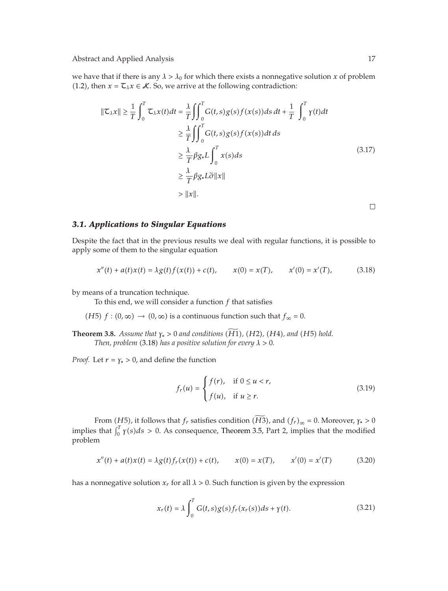we have that if there is any  $\lambda > \lambda_0$  for which there exists a nonnegative solution *x* of problem (1.2), then  $x = \mathcal{T}_{\lambda}x \in \mathcal{K}$ . So, we arrive at the following contradiction:

$$
\|\mathbf{Z}_{\lambda}x\| \geq \frac{1}{T} \int_{0}^{T} \mathbf{Z}_{\lambda}x(t)dt = \frac{\lambda}{T} \iint_{0}^{T} G(t,s)g(s)f(x(s))ds dt + \frac{1}{T} \int_{0}^{T} \gamma(t)dt
$$
  
\n
$$
\geq \frac{\lambda}{T} \iint_{0}^{T} G(t,s)g(s)f(x(s))dt ds
$$
  
\n
$$
\geq \frac{\lambda}{T} \beta g_{*}L \int_{0}^{T} x(s)ds
$$
  
\n
$$
\geq \frac{\lambda}{T} \beta g_{*}L\tilde{\sigma} \|x\|
$$
  
\n
$$
> \|x\|.
$$
 (3.17)

 $\Box$ 

#### *3.1. Applications to Singular Equations*

Despite the fact that in the previous results we deal with regular functions, it is possible to apply some of them to the singular equation

$$
x''(t) + a(t)x(t) = \lambda g(t)f(x(t)) + c(t), \qquad x(0) = x(T), \qquad x'(0) = x'(T), \tag{3.18}
$$

by means of a truncation technique.

To this end, we will consider a function *f* that satisfies

 $(H5)$  *f* :  $(0, ∞)$  →  $(0, ∞)$  is a continuous function such that  $f_{\infty} = 0$ .

**Theorem 3.8.** *Assume that*  $\gamma_* > 0$  *and conditions*  $(H1)$ ,  $(H2)$ ,  $(H4)$ , *and*  $(H5)$  *hold.*<br>*Then realism*  $(2.18)$  *has a positive solution for group*  $1 > 0$ . Then, problem (3.18) has a positive solution for every  $\lambda > 0$ .

*Proof.* Let  $r = \gamma_* > 0$ , and define the function

$$
f_r(u) = \begin{cases} f(r), & \text{if } 0 \le u < r, \\ f(u), & \text{if } u \ge r. \end{cases}
$$
 (3.19)

From (*H*5), it follows that *f<sub>r</sub>* satisfies condition (*H*3), and  $(f_r)_{\infty} = 0$ . Moreover,  $\gamma_* > 0$ implies that  $\int_0^T \gamma(s) ds > 0$ . As consequence, Theorem 3.5, Part 2, implies that the modified problem

$$
x''(t) + a(t)x(t) = \lambda g(t)f_r(x(t)) + c(t), \qquad x(0) = x(T), \qquad x'(0) = x'(T) \tag{3.20}
$$

has a nonnegative solution  $x_r$  for all  $\lambda > 0$ . Such function is given by the expression

$$
x_r(t) = \lambda \int_0^T G(t,s)g(s)f_r(x_r(s))ds + \gamma(t). \tag{3.21}
$$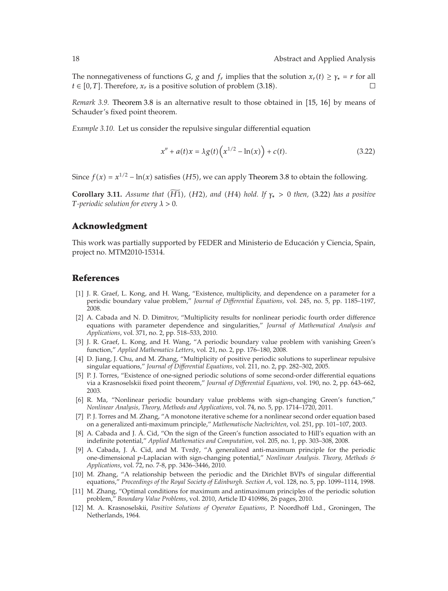The nonnegativeness of functions *G*, *g* and  $f_r$  implies that the solution  $x_r(t) \geq \gamma_* = r$  for all  $t \in [0, T]$ . Therefore,  $x_r$  is a positive solution of problem  $(3.18)$ .  $\Box$ 

*Remark 3.9.* Theorem 3.8 is an alternative result to those obtained in [15, 16] by means of Schauder's fixed point theorem.

*Example 3.10.* Let us consider the repulsive singular differential equation

$$
x'' + a(t)x = \lambda g(t) \left( x^{1/2} - \ln(x) \right) + c(t). \tag{3.22}
$$

Since  $f(x) = x^{1/2} - \ln(x)$  satisfies (*H*5), we can apply Theorem 3.8 to obtain the following.

**Corollary 3.11.** *Assume that* (*H*1), (*H2*), and (*H4*) *hold. If*  $\gamma_*$  > 0 *then,* (3.22) *has a positive T*-neriodic solution for every  $\lambda > 0$ *T-periodic solution for every λ >* 0*.*

### **Acknowledgment**

This work was partially supported by FEDER and Ministerio de Educacion y Ciencia, Spain, ´ project no. MTM2010-15314.

#### **References**

- [1] J. R. Graef, L. Kong, and H. Wang, "Existence, multiplicity, and dependence on a parameter for a periodic boundary value problem," *Journal of Differential Equations*, vol. 245, no. 5, pp. 1185–1197, 2008.
- 2 A. Cabada and N. D. Dimitrov, "Multiplicity results for nonlinear periodic fourth order difference equations with parameter dependence and singularities," *Journal of Mathematical Analysis and Applications*, vol. 371, no. 2, pp. 518–533, 2010.
- [3] J. R. Graef, L. Kong, and H. Wang, "A periodic boundary value problem with vanishing Green's function," *Applied Mathematics Letters*, vol. 21, no. 2, pp. 176–180, 2008.
- 4 D. Jiang, J. Chu, and M. Zhang, "Multiplicity of positive periodic solutions to superlinear repulsive singular equations," *Journal of Differential Equations*, vol. 211, no. 2, pp. 282–302, 2005.
- 5 P. J. Torres, "Existence of one-signed periodic solutions of some second-order differential equations via a Krasnoselskii fixed point theorem," *Journal of Differential Equations*, vol. 190, no. 2, pp. 643–662, 2003.
- [6] R. Ma, "Nonlinear periodic boundary value problems with sign-changing Green's function," *Nonlinear Analysis, Theory, Methods and Applications*, vol. 74, no. 5, pp. 1714–1720, 2011.
- 7 P. J. Torres and M. Zhang, "A monotone iterative scheme for a nonlinear second order equation based on a generalized anti-maximum principle," *Mathematische Nachrichten*, vol. 251, pp. 101–107, 2003.
- [8] A. Cabada and J. Á. Cid, "On the sign of the Green's function associated to Hill's equation with an indefinite potential," *Applied Mathematics and Computation*, vol. 205, no. 1, pp. 303–308, 2008.
- [9] A. Cabada, J. Á. Cid, and M. Tvrdý, "A generalized anti-maximum principle for the periodic one-dimensional *p*-Laplacian with sign-changing potential," *Nonlinear Analysis. Theory, Methods & Applications*, vol. 72, no. 7-8, pp. 3436–3446, 2010.
- 10 M. Zhang, "A relationship between the periodic and the Dirichlet BVPs of singular differential equations," *Proceedings of the Royal Society of Edinburgh. Section A*, vol. 128, no. 5, pp. 1099–1114, 1998.
- 11 M. Zhang, "Optimal conditions for maximum and antimaximum principles of the periodic solution problem," *Boundary Value Problems*, vol. 2010, Article ID 410986, 26 pages, 2010.
- 12 M. A. Krasnoselskii, *Positive Solutions of Operator Equations*, P. Noordhoff Ltd., Groningen, The Netherlands, 1964.